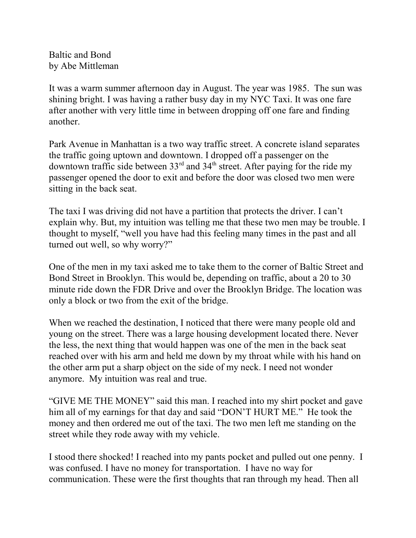Baltic and Bond by Abe Mittleman

It was a warm summer afternoon day in August. The year was 1985. The sun was shining bright. I was having a rather busy day in my NYC Taxi. It was one fare after another with very little time in between dropping off one fare and finding another.

Park Avenue in Manhattan is a two way traffic street. A concrete island separates the traffic going uptown and downtown. I dropped off a passenger on the downtown traffic side between  $33<sup>rd</sup>$  and  $34<sup>th</sup>$  street. After paying for the ride my passenger opened the door to exit and before the door was closed two men were sitting in the back seat.

The taxi I was driving did not have a partition that protects the driver. I can't explain why. But, my intuition was telling me that these two men may be trouble. I thought to myself, "well you have had this feeling many times in the past and all turned out well, so why worry?"

One of the men in my taxi asked me to take them to the corner of Baltic Street and Bond Street in Brooklyn. This would be, depending on traffic, about a 20 to 30 minute ride down the FDR Drive and over the Brooklyn Bridge. The location was only a block or two from the exit of the bridge.

When we reached the destination, I noticed that there were many people old and young on the street. There was a large housing development located there. Never the less, the next thing that would happen was one of the men in the back seat reached over with his arm and held me down by my throat while with his hand on the other arm put a sharp object on the side of my neck. I need not wonder anymore. My intuition was real and true.

"GIVE ME THE MONEY" said this man. I reached into my shirt pocket and gave him all of my earnings for that day and said "DON'T HURT ME." He took the money and then ordered me out of the taxi. The two men left me standing on the street while they rode away with my vehicle.

I stood there shocked! I reached into my pants pocket and pulled out one penny. I was confused. I have no money for transportation. I have no way for communication. These were the first thoughts that ran through my head. Then all